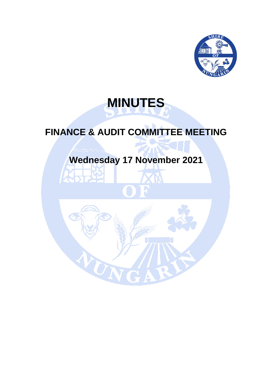

# **MINUTES**

## **FINANCE & AUDIT COMMITTEE MEETING**

# **Wednesday 17 November 2021**

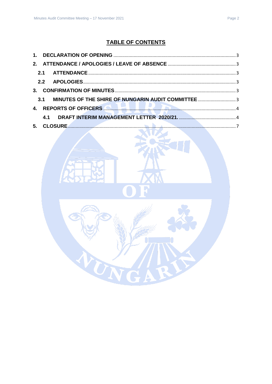## **TABLE OF CONTENTS**

| $3-$ |     |                                                                          |  |
|------|-----|--------------------------------------------------------------------------|--|
|      |     |                                                                          |  |
|      |     | 4. REPORTS OF OFFICERS <b>AND RELEASE AND RELEASE OF A SECOND ACTION</b> |  |
|      | 4.1 |                                                                          |  |
|      |     |                                                                          |  |

TN

R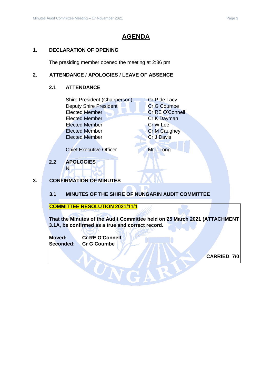## **AGENDA**

## <span id="page-2-0"></span>**1. DECLARATION OF OPENING**

The presiding member opened the meeting at 2:36 pm

## <span id="page-2-2"></span><span id="page-2-1"></span>**2. ATTENDANCE / APOLOGIES / LEAVE OF ABSENCE**

## **2.1 ATTENDANCE**

| Shire President (Chairperson) |             | Cr P de Lacy        |  |
|-------------------------------|-------------|---------------------|--|
| <b>Deputy Shire President</b> | Cr G Coumbe |                     |  |
| <b>Elected Member</b>         |             | Cr RE O'Connell     |  |
| <b>Elected Member</b>         |             | Cr K Dayman         |  |
| <b>Elected Member</b>         |             | Cr W Lee            |  |
| <b>Elected Member</b>         |             | <b>Cr M Caughey</b> |  |
| <b>Elected Member</b>         |             | <b>Cr J Davis</b>   |  |
|                               |             |                     |  |

Chief Executive Officer Mr L Long

<span id="page-2-3"></span>**2.2 APOLOGIES** Nil

## <span id="page-2-4"></span>**3. CONFIRMATION OF MINUTES**

<span id="page-2-5"></span>**3.1 MINUTES OF THE SHIRE OF NUNGARIN AUDIT COMMITTEE**

**COMMITTEE RESOLUTION 2021/11/1**

**That the Minutes of the Audit Committee held on 25 March 2021 (ATTACHMENT 3.1A, be confirmed as a true and correct record.**

**Moved: Cr RE O'Connell Seconded: Cr G Coumbe**

**CARRIED 7/0**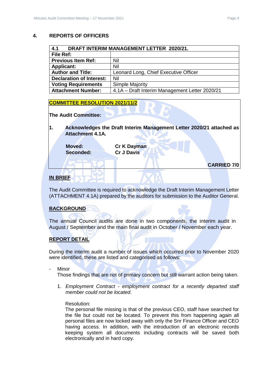## <span id="page-3-0"></span>**4. REPORTS OF OFFICERS**

<span id="page-3-1"></span>

| 4.1<br>DRAFT INTERIM MANAGEMENT LETTER 2020/21. |                                                |  |
|-------------------------------------------------|------------------------------------------------|--|
| File Ref:                                       |                                                |  |
| <b>Previous Item Ref:</b>                       | Nil                                            |  |
| <b>Applicant:</b>                               | Nil                                            |  |
| <b>Author and Title:</b>                        | Leonard Long, Chief Executive Officer          |  |
| <b>Declaration of Interest:</b>                 | Nil                                            |  |
| <b>Voting Requirements</b>                      | <b>Simple Majority</b>                         |  |
| <b>Attachment Number:</b>                       | 4.1A - Draft Interim Management Letter 2020/21 |  |

## **COMMITTEE RESOLUTION 2021/11/2**

**The Audit Committee:**

**1. Acknowledges the Draft Interim Management Letter 2020/21 attached as Attachment 4.1A.**

**Moved: Cr K Dayman**

**Seconded: Cr J Davis**

**IN BRIEF**

The Audit Committee is required to acknowledge the Draft Interim Management Letter (ATTACHMENT 4.1A) prepared by the auditors for submission to the Auditor General.

## **BACKGROUND**

The annual Council audits are done in two components, the interim audit in August / September and the main final audit in October / November each year.

## **REPORT DETAIL**

During the interim audit a number of issues which occurred prior to November 2020 were identified, these are listed and categorised as follows:

Minor

Those findings that are not of primary concern but still warrant action being taken.

1. *Employment Contract - employment contract for a recently departed staff member could not be located*.

#### Resolution:

The personal file missing is that of the previous CEO, staff have searched for the file but could not be located. To prevent this from happening again all personal files are now locked away with only the Snr Finance Officer and CEO having access. In addition, with the introduction of an electronic records keeping system all documents including contracts will be saved both electronically and in hard copy.

**CARRIED 7/0**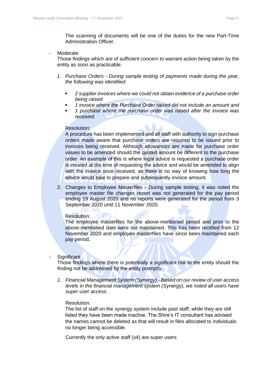The scanning of documents will be one of the duties for the new Part-Time Administration Officer.

- Moderate

Those findings which are of sufficient concern to warrant action being taken by the entity as soon as practicable.

- *1. Purchase Orders - During sample testing of payments made during the year, the following was identified:* 
	- *2 supplier invoices where we could not obtain evidence of a purchase order being raised*
	- *1 invoice where the Purchase Order raised did not include an amount and*
	- *1 purchase where the purchase order was raised after the invoice was received.*

#### Resolution:

A procedure has been implemented and all staff with authority to sign purchase orders made aware that purchase orders are required to be issued prior to invoices being received. Although allowances are made for purchase order values to be amended should the quoted amount be different to the purchase order. An example of this is where legal advice is requested a purchase order is created at the time of requesting the advice and would be amended to align with the invoice once received, as there is no way of knowing how long the advice would take to prepare and subsequently invoice amount.

2. Changes to Employee Masterfiles - During sample testing, it was noted the employee master file changes report was not generated for the pay period ending 19 August 2020 and no reports were generated for the period from 3 September 2020 until 11 November 2020.

#### Resolution:

The employee masterfiles for the above-mentioned period and prior to the above-mentioned date were not maintained. This has been rectified from 12 November 2020 and employee masterfiles have since been maintained each pay period**.**

#### Significant

Those findings where there is potentially a significant risk to the entity should the finding not be addressed by the entity promptly.

*1. Financial Management System (Synergy) - Based on our review of user access levels in the financial management system (Synergy), we noted all users have super user access.*

#### Resolution:

The list of staff on the synergy system include past staff, while they are still listed they have been made inactive. The Shire's IT consultant has advised the names cannot be deleted as that will result in files allocated to individuals no longer being accessible.

Currently the only active staff (x4) are super users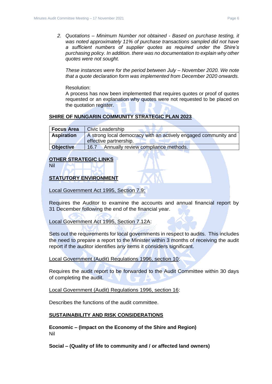*2. Quotations – Minimum Number not obtained - Based on purchase testing, it was noted approximately 11% of purchase transactions sampled did not have a sufficient numbers of supplier quotes as required under the Shire's purchasing policy. In addition. there was no documentation to explain why other quotes were not sought.* 

*These instances were for the period between July – November 2020. We note that a quote declaration form was implemented from December 2020 onwards.*

Resolution:

A process has now been implemented that requires quotes or proof of quotes requested or an explanation why quotes were not requested to be placed on the quotation register.

## **SHIRE OF NUNGARIN COMMUNITY STRATEGIC PLAN 2023**

| <b>Focus Area</b> | <b>Civic Leadership</b>                                         |  |
|-------------------|-----------------------------------------------------------------|--|
| <b>Aspiration</b> | A strong local democracy with an actively engaged community and |  |
|                   | effective partnership.                                          |  |
| <b>Objective</b>  | Annually review compliance methods.<br>16.7                     |  |

## **OTHER STRATEGIC LINKS**

Nil

## **STATUTORY ENVIRONMENT**

Local Government Act 1995, Section 7.9:

Requires the Auditor to examine the accounts and annual financial report by 31 December following the end of the financial year.

Local Government Act 1995, Section 7.12A:

Sets out the requirements for local governments in respect to audits. This includes the need to prepare a report to the Minister within 3 months of receiving the audit report if the auditor identifies any items it considers significant.

Local Government (Audit) Regulations 1996, section 10:

Requires the audit report to be forwarded to the Audit Committee within 30 days of completing the audit.

Local Government (Audit) Regulations 1996, section 16:

Describes the functions of the audit committee.

#### **SUSTAINABILITY AND RISK CONSIDERATIONS**

**Economic – (Impact on the Economy of the Shire and Region)** Nil

**Social – (Quality of life to community and / or affected land owners)**